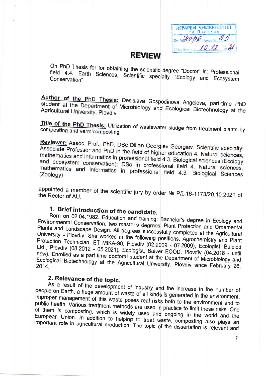| AFPAPEN VHWBEFCMTET<br>гр. Пловдин |
|------------------------------------|
| 85<br>HOPE ARAB NE                 |
| $\mathcal{U}$<br>10.12             |

#### **REVIEW**

On PhD Thesis for for obtaining the scientific degree "Doctor" in: Professional field 4.4. Earth Sciences, Scientific specialty "Ecology and Ecosystem

Author of the PhD Thesis: Desislava Gospodinova Angelova, part-time PhD student at the Department of Microbiology and Ecological Biotechnology at the Agricultural University, Plovdiv

Title of the PhD Thesis: Utilization of wastewater sludge from treatment plants by compositing and vermicomposting

Reviewer: Assoc. Prof., PhD, DSc Dilian Georgiev Georgiev. Scientific specialty: Associate Professor and PhD in the field of higher education 4. Natural sciences, mathematics and informatics in professional field 4.3. Biological sciences (Ecology and ecosystem conservation); DSc in professional field 4. Natural sciences, mathematics and informatics in professional field 4.3. Biological Sciences

appointed a member of the scientific jury by order № РД-16-1173/20.10.2021 of the Rector of AU.

### 1. Brief introduction of the candidate.

Born on 02.04.1982. Education and training: Bachelor's degree in Ecology and Environmental Conservation; two master's degrees: Plant Protection and Ornamental Plants and Landscape Design. All degrees successfully completed at the Agricultural University - Plovdiv. She worked in the following positions: Agrochemistry and Plant Protection Technician, ET MIKA-90, Plovdiv (02.2009 - 07.2009); Ecologist, Bulplod Ltd., Plovdiv (08.2012 - 05.2021); Ecologist, Bulver EOOD, Plovdiv (04.2018 - until now). Enrolled as a part-time doctoral student at the Department of Microbiology and Ecological Biotechnology at the Agricultural University, Plovdiv since February 26,

#### 2. Relevance of the topic.

As a result of the development of industry and the increase in the number of people on Earth, a huge amount of waste of all kinds is generated in the environment. Improper management of this waste poses real risks both to the environment and to public health. Various treatment methods are used in practice to limit these risks. One of them is composting, which is widely used and ongoing in the world and the European Union. In addition to helping to treat waste, composting also plays an important role in agricultural production. The topic of the dissertation is relevant and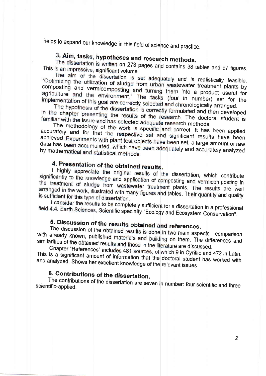helps to expand our knowledge in this field of science and practice.

# 3. Aim, tasks, hypotheses and research methods.

The dissertation is written on 273 pages and contains 38 tables and 97 figures. This is an impressive, significant volume.

The aim of the dissertation is set adequately and is realistically feasible: "Optimizing the utilization of sludge from urban wastewater treatment plants by composting and vermicomposting and turning them into a product useful for agriculture and the environment." The tasks (four in number) set for the implementation of this goal are correctly selected and chronologically arranged.

The hypothesis of the dissertation is correctly formulated and then developed in the chapter presenting the results of the research. The doctoral student is familiar with the issue and has selected adequate research methods.

The methodology of the work is specific and correct. It has been applied accurately and for that the respective set and significant results have been achieved. Experiments with plant test objects have been set, a large amount of raw data has been accumulated, which have been adequately and accurately analyzed by mathematical and statistical methods.

## 4. Presentation of the obtained results.

I highly appreciate the original results of the dissertation, which contribute significantly to the knowledge and application of composting and vermicornposting in the treatment of sludge from wastewater treatment plants. The results are well arranged in the work, illustrated with many figures and tables. Their quantity and quality is sufficient for this type of dissertation.

I consider the results to be completely sufficient for a dissertation in a professional field 4.4. Earth Sciences, Scientific specialty "Ecology and Ecosystem Conservation".

# 5. Discussion of the results obtained and references.

The discussion of the obtained results is done in two main aspects - comparison with already known, published materials and building on them. The differences and similarities of the obtained results and those in the literature are discussed.

Chapter "References" includes 481 sources, of which 9 in Cyrillic and 472 in Latin. This is a significant amount of information that the doctoral student has worked with and analyzed. Shows her excellent knowledge of the relevant issues.

#### 6. Contributions of the dissertation.

The contributions of the dissertation are seven in number: four scientific and three scientific-applied.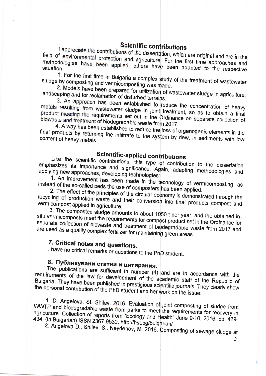### **Scientific contributions**

I appreciate the contributions of the dissertation, which are original and are in the field of environmental protection and agriculture. For the first time approaches and methodologies have been applied, others have been adapted to the respective situation:

1. For the first time in Bulgaria a complex study of the treatment of wastewater sludge by composting and vermicomposting was made.

2. Models have been prepared for utilization of wastewater sludge in agriculture, landscaping and for reclamation of disturbed terrains.

3. An approach has been established to reduce the concentration of heavy metals resulting from wastewater sludge in joint treatment, so as to obtain a final product meeting the requirements set out in the Ordinance on separate collection of biowaste and treatment of biodegradable waste from 2017.

4. A way has been established to reduce the loss of organogenic elements in the final products by returning the infiltrate to the system by dew, in sediments with low content of heavy metals.

#### **Scientific-applied contributions**

Like the scientific contributions, this type of contribution to the dissertation emphasizes its importance and significance. Again, adapting methodologies and applying new approaches, developing technologies:

1. An improvement has been made in the technology of vermicomposting, as instead of the so-called beds the use of composters has been applied.

2. The effect of the principles of the circular economy is demonstrated through the recycling of production waste and their conversion into final products compost and vermicompost applied in agriculture.

3. The composted sludge amounts to about 1050 t per year, and the obtained insitu vermicomposts meet the requirements for compost product set in the Ordinance for separate collection of biowaste and treatment of biodegradable waste from 2017 and are used as a quality complex fertilizer for maintaining green areas.

### 7. Critical notes and questions.

I have no critical remarks or questions to the PhD student.

## 8. Публикувани статии и цитирания.

The publications are sufficient in number  $(4)$  and are in accordance with the requirements of the law for development of the academic staff of the Republic of Bulgaria. They have been published in prestigious scientific journals. They clearly show the personal contribution of the PhD student and her work on the issue:

1. D. Angelova, St. Shilev, 2016. Evaluation of joint composting of sludge from WWTP and biodegradable waste from parks to meet the requirements for recovery in agriculture. Collection of reports from "Ecology and Health" June 9-10, 2016, pp. 429-434, (in Bulgarian) ISSN 2367-9530, http://hst.bg/bulgarian/

2. Angelova D., Shilev, S., Naydenov, M. 2016. Composting of sewage sludge at

3